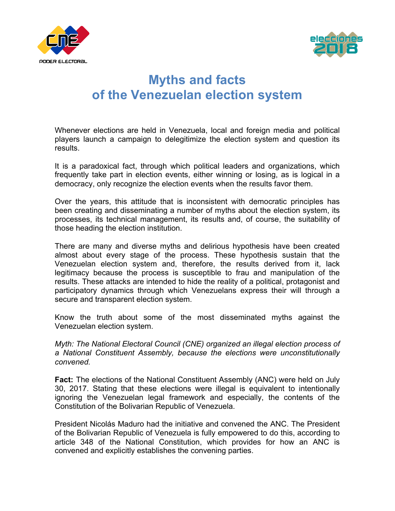



# **Myths and facts of the Venezuelan election system**

Whenever elections are held in Venezuela, local and foreign media and political players launch a campaign to delegitimize the election system and question its results.

It is a paradoxical fact, through which political leaders and organizations, which frequently take part in election events, either winning or losing, as is logical in a democracy, only recognize the election events when the results favor them.

Over the years, this attitude that is inconsistent with democratic principles has been creating and disseminating a number of myths about the election system, its processes, its technical management, its results and, of course, the suitability of those heading the election institution.

There are many and diverse myths and delirious hypothesis have been created almost about every stage of the process. These hypothesis sustain that the Venezuelan election system and, therefore, the results derived from it, lack legitimacy because the process is susceptible to frau and manipulation of the results. These attacks are intended to hide the reality of a political, protagonist and participatory dynamics through which Venezuelans express their will through a secure and transparent election system.

Know the truth about some of the most disseminated myths against the Venezuelan election system.

*Myth: The National Electoral Council (CNE) organized an illegal election process of a National Constituent Assembly, because the elections were unconstitutionally convened.*

**Fact:** The elections of the National Constituent Assembly (ANC) were held on July 30, 2017. Stating that these elections were illegal is equivalent to intentionally ignoring the Venezuelan legal framework and especially, the contents of the Constitution of the Bolivarian Republic of Venezuela.

President Nicolás Maduro had the initiative and convened the ANC. The President of the Bolivarian Republic of Venezuela is fully empowered to do this, according to article 348 of the National Constitution, which provides for how an ANC is convened and explicitly establishes the convening parties.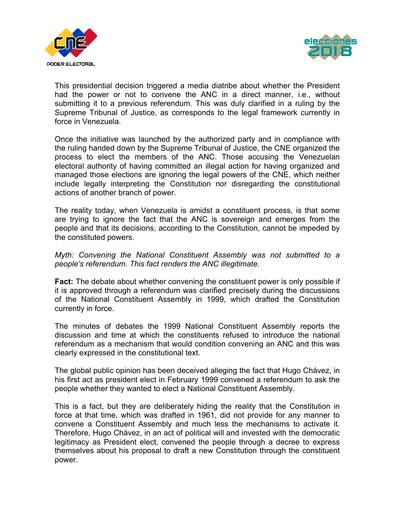



This presidential decision triggered a media diatribe about whether the President had the power or not to convene the ANC in a direct manner, i.e., without submitting it to a previous referendum. This was duly clarified in a ruling by the Supreme Tribunal of Justice, as corresponds to the legal framework currently in force in Venezuela.

Once the initiative was launched by the authorized party and in compliance with the ruling handed down by the Supreme Tribunal of Justice, the CNE organized the process to elect the members of the ANC. Those accusing the Venezuelan electoral authority of having committed an illegal action for having organized and managed those elections are ignoring the legal powers of the CNE, which neither include legally interpreting the Constitution nor disregarding the constitutional actions of another branch of power.

The reality today, when Venezuela is amidst a constituent process, is that some are trying to ignore the fact that the ANC is sovereign and emerges from the people and that its decisions, according to the Constitution, cannot be impeded by the constituted powers.

### *Myth: Convening the National Constituent Assembly was not submitted to a people's referendum. This fact renders the ANC illegitimate.*

**Fact:** The debate about whether convening the constituent power is only possible if it is approved through a referendum was clarified precisely during the discussions of the National Constituent Assembly in 1999, which drafted the Constitution currently in force.

The minutes of debates the 1999 National Constituent Assembly reports the discussion and time at which the constituents refused to introduce the national referendum as a mechanism that would condition convening an ANC and this was clearly expressed in the constitutional text.

The global public opinion has been deceived alleging the fact that Hugo Chávez, in his first act as president elect in February 1999 convened a referendum to ask the people whether they wanted to elect a National Constituent Assembly.

This is a fact, but they are deliberately hiding the reality that the Constitution in force at that time, which was drafted in 1961, did not provide for any manner to convene a Constituent Assembly and much less the mechanisms to activate it. Therefore, Hugo Chávez, in an act of political will and invested with the democratic legitimacy as President elect, convened the people through a decree to express themselves about his proposal to draft a new Constitution through the constituent power.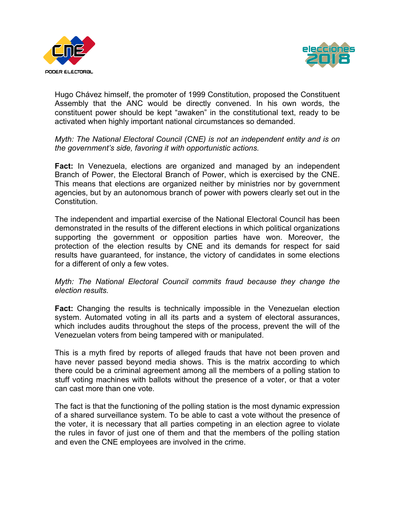



Hugo Chávez himself, the promoter of 1999 Constitution, proposed the Constituent Assembly that the ANC would be directly convened. In his own words, the constituent power should be kept "awaken" in the constitutional text, ready to be activated when highly important national circumstances so demanded.

*Myth: The National Electoral Council (CNE) is not an independent entity and is on the government's side, favoring it with opportunistic actions.*

**Fact:** In Venezuela, elections are organized and managed by an independent Branch of Power, the Electoral Branch of Power, which is exercised by the CNE. This means that elections are organized neither by ministries nor by government agencies, but by an autonomous branch of power with powers clearly set out in the Constitution.

The independent and impartial exercise of the National Electoral Council has been demonstrated in the results of the different elections in which political organizations supporting the government or opposition parties have won. Moreover, the protection of the election results by CNE and its demands for respect for said results have guaranteed, for instance, the victory of candidates in some elections for a different of only a few votes.

#### *Myth: The National Electoral Council commits fraud because they change the election results.*

**Fact:** Changing the results is technically impossible in the Venezuelan election system. Automated voting in all its parts and a system of electoral assurances, which includes audits throughout the steps of the process, prevent the will of the Venezuelan voters from being tampered with or manipulated.

This is a myth fired by reports of alleged frauds that have not been proven and have never passed beyond media shows. This is the matrix according to which there could be a criminal agreement among all the members of a polling station to stuff voting machines with ballots without the presence of a voter, or that a voter can cast more than one vote.

The fact is that the functioning of the polling station is the most dynamic expression of a shared surveillance system. To be able to cast a vote without the presence of the voter, it is necessary that all parties competing in an election agree to violate the rules in favor of just one of them and that the members of the polling station and even the CNE employees are involved in the crime.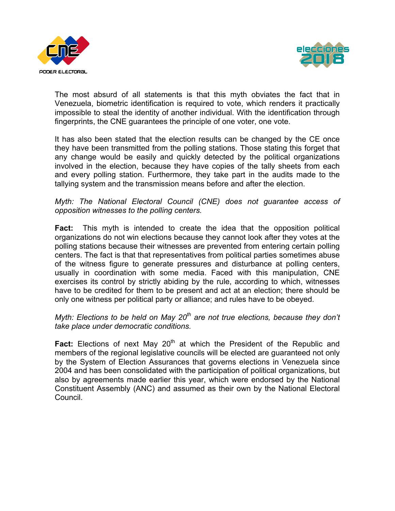



The most absurd of all statements is that this myth obviates the fact that in Venezuela, biometric identification is required to vote, which renders it practically impossible to steal the identity of another individual. With the identification through fingerprints, the CNE guarantees the principle of one voter, one vote.

It has also been stated that the election results can be changed by the CE once they have been transmitted from the polling stations. Those stating this forget that any change would be easily and quickly detected by the political organizations involved in the election, because they have copies of the tally sheets from each and every polling station. Furthermore, they take part in the audits made to the tallying system and the transmission means before and after the election.

### *Myth: The National Electoral Council (CNE) does not guarantee access of opposition witnesses to the polling centers.*

**Fact:** This myth is intended to create the idea that the opposition political organizations do not win elections because they cannot look after they votes at the polling stations because their witnesses are prevented from entering certain polling centers. The fact is that that representatives from political parties sometimes abuse of the witness figure to generate pressures and disturbance at polling centers, usually in coordination with some media. Faced with this manipulation, CNE exercises its control by strictly abiding by the rule, according to which, witnesses have to be credited for them to be present and act at an election; there should be only one witness per political party or alliance; and rules have to be obeyed.

## *Myth: Elections to be held on May 20th are not true elections, because they don't take place under democratic conditions.*

**Fact:** Elections of next May 20<sup>th</sup> at which the President of the Republic and members of the regional legislative councils will be elected are guaranteed not only by the System of Election Assurances that governs elections in Venezuela since 2004 and has been consolidated with the participation of political organizations, but also by agreements made earlier this year, which were endorsed by the National Constituent Assembly (ANC) and assumed as their own by the National Electoral Council.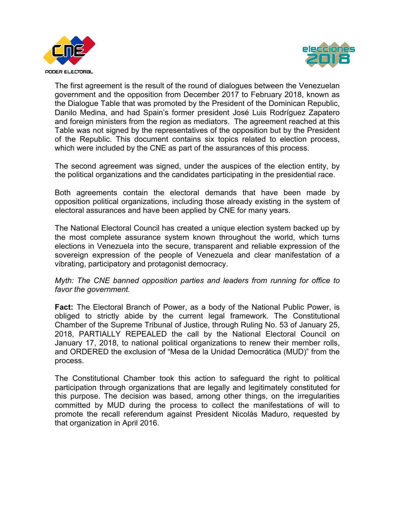



The first agreement is the result of the round of dialogues between the Venezuelan government and the opposition from December 2017 to February 2018, known as the Dialogue Table that was promoted by the President of the Dominican Republic, Danilo Medina, and had Spain's former president José Luis Rodríguez Zapatero and foreign ministers from the region as mediators. The agreement reached at this Table was not signed by the representatives of the opposition but by the President of the Republic. This document contains six topics related to election process, which were included by the CNE as part of the assurances of this process.

The second agreement was signed, under the auspices of the election entity, by the political organizations and the candidates participating in the presidential race.

Both agreements contain the electoral demands that have been made by opposition political organizations, including those already existing in the system of electoral assurances and have been applied by CNE for many years.

The National Electoral Council has created a unique election system backed up by the most complete assurance system known throughout the world, which turns elections in Venezuela into the secure, transparent and reliable expression of the sovereign expression of the people of Venezuela and clear manifestation of a vibrating, participatory and protagonist democracy.

*Myth: The CNE banned opposition parties and leaders from running for office to favor the government.*

**Fact:** The Electoral Branch of Power, as a body of the National Public Power, is obliged to strictly abide by the current legal framework. The Constitutional Chamber of the Supreme Tribunal of Justice, through Ruling No. 53 of January 25, 2018, PARTIALLY REPEALED the call by the National Electoral Council on January 17, 2018, to national political organizations to renew their member rolls, and ORDERED the exclusion of "Mesa de la Unidad Democrática (MUD)" from the process.

The Constitutional Chamber took this action to safeguard the right to political participation through organizations that are legally and legitimately constituted for this purpose. The decision was based, among other things, on the irregularities committed by MUD during the process to collect the manifestations of will to promote the recall referendum against President Nicolás Maduro, requested by that organization in April 2016.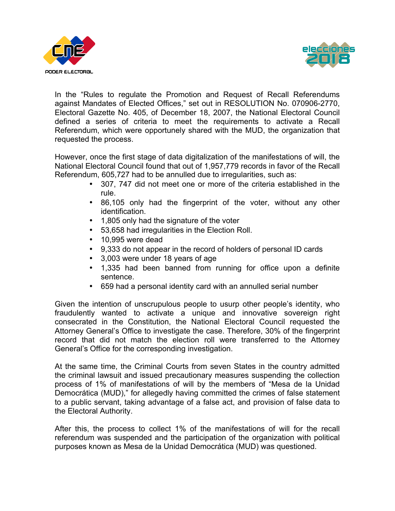



In the "Rules to regulate the Promotion and Request of Recall Referendums against Mandates of Elected Offices," set out in RESOLUTION No. 070906-2770, Electoral Gazette No. 405, of December 18, 2007, the National Electoral Council defined a series of criteria to meet the requirements to activate a Recall Referendum, which were opportunely shared with the MUD, the organization that requested the process.

However, once the first stage of data digitalization of the manifestations of will, the National Electoral Council found that out of 1,957,779 records in favor of the Recall Referendum, 605,727 had to be annulled due to irregularities, such as:

- 307, 747 did not meet one or more of the criteria established in the rule.
- 86,105 only had the fingerprint of the voter, without any other identification.
- 1,805 only had the signature of the voter
- 53,658 had irregularities in the Election Roll.
- 10,995 were dead
- 9,333 do not appear in the record of holders of personal ID cards
- 3,003 were under 18 years of age
- 1,335 had been banned from running for office upon a definite sentence.
- 659 had a personal identity card with an annulled serial number

Given the intention of unscrupulous people to usurp other people's identity, who fraudulently wanted to activate a unique and innovative sovereign right consecrated in the Constitution, the National Electoral Council requested the Attorney General's Office to investigate the case. Therefore, 30% of the fingerprint record that did not match the election roll were transferred to the Attorney General's Office for the corresponding investigation.

At the same time, the Criminal Courts from seven States in the country admitted the criminal lawsuit and issued precautionary measures suspending the collection process of 1% of manifestations of will by the members of "Mesa de la Unidad Democrática (MUD)," for allegedly having committed the crimes of false statement to a public servant, taking advantage of a false act, and provision of false data to the Electoral Authority.

After this, the process to collect 1% of the manifestations of will for the recall referendum was suspended and the participation of the organization with political purposes known as Mesa de la Unidad Democrática (MUD) was questioned.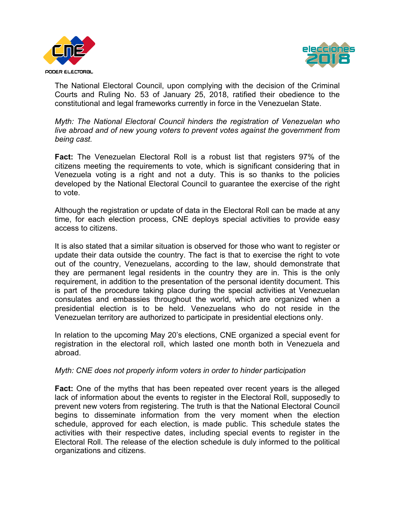



The National Electoral Council, upon complying with the decision of the Criminal Courts and Ruling No. 53 of January 25, 2018, ratified their obedience to the constitutional and legal frameworks currently in force in the Venezuelan State.

*Myth: The National Electoral Council hinders the registration of Venezuelan who live abroad and of new young voters to prevent votes against the government from being cast.*

**Fact:** The Venezuelan Electoral Roll is a robust list that registers 97% of the citizens meeting the requirements to vote, which is significant considering that in Venezuela voting is a right and not a duty. This is so thanks to the policies developed by the National Electoral Council to guarantee the exercise of the right to vote.

Although the registration or update of data in the Electoral Roll can be made at any time, for each election process, CNE deploys special activities to provide easy access to citizens.

It is also stated that a similar situation is observed for those who want to register or update their data outside the country. The fact is that to exercise the right to vote out of the country, Venezuelans, according to the law, should demonstrate that they are permanent legal residents in the country they are in. This is the only requirement, in addition to the presentation of the personal identity document. This is part of the procedure taking place during the special activities at Venezuelan consulates and embassies throughout the world, which are organized when a presidential election is to be held. Venezuelans who do not reside in the Venezuelan territory are authorized to participate in presidential elections only.

In relation to the upcoming May 20's elections, CNE organized a special event for registration in the electoral roll, which lasted one month both in Venezuela and abroad.

### *Myth: CNE does not properly inform voters in order to hinder participation*

**Fact:** One of the myths that has been repeated over recent years is the alleged lack of information about the events to register in the Electoral Roll, supposedly to prevent new voters from registering. The truth is that the National Electoral Council begins to disseminate information from the very moment when the election schedule, approved for each election, is made public. This schedule states the activities with their respective dates, including special events to register in the Electoral Roll. The release of the election schedule is duly informed to the political organizations and citizens.